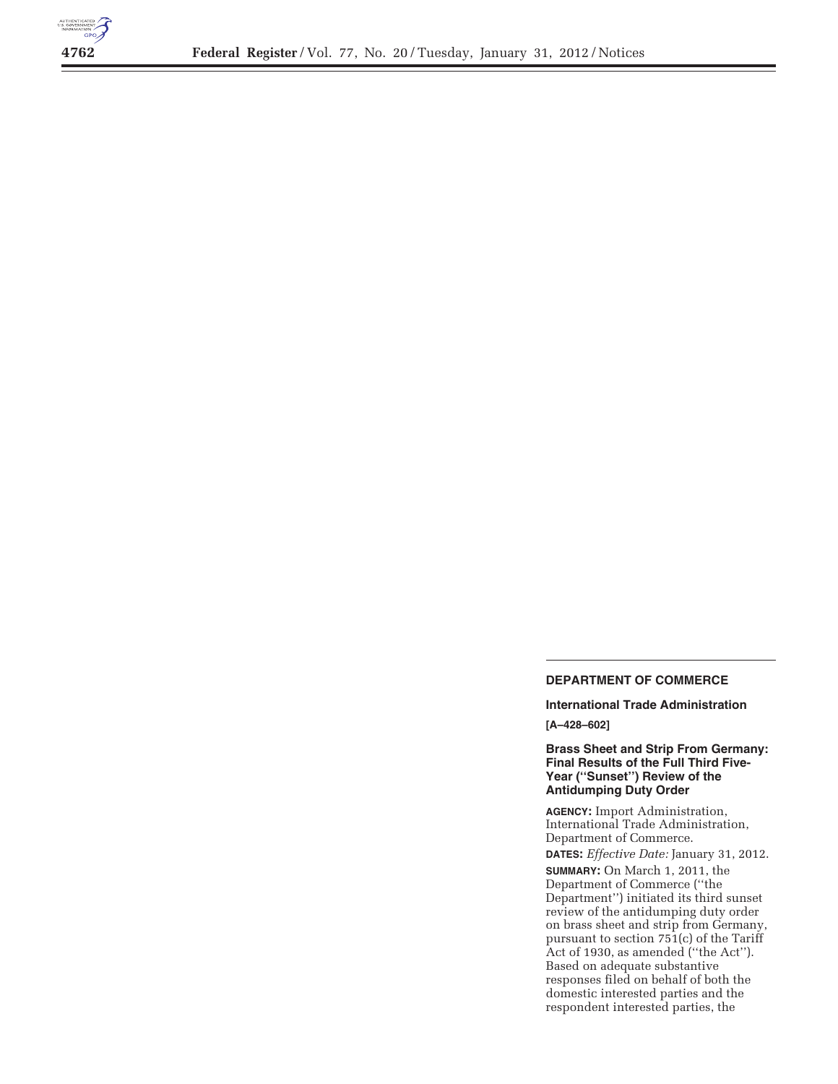

## **DEPARTMENT OF COMMERCE**

**International Trade Administration [A–428–602]** 

## **Brass Sheet and Strip From Germany: Final Results of the Full Third Five-Year (''Sunset'') Review of the Antidumping Duty Order**

**AGENCY:** Import Administration, International Trade Administration, Department of Commerce. **DATES:** *Effective Date:* January 31, 2012. **SUMMARY:** On March 1, 2011, the Department of Commerce (''the

Department'') initiated its third sunset review of the antidumping duty order on brass sheet and strip from Germany, pursuant to section 751(c) of the Tariff Act of 1930, as amended (''the Act''). Based on adequate substantive responses filed on behalf of both the domestic interested parties and the respondent interested parties, the